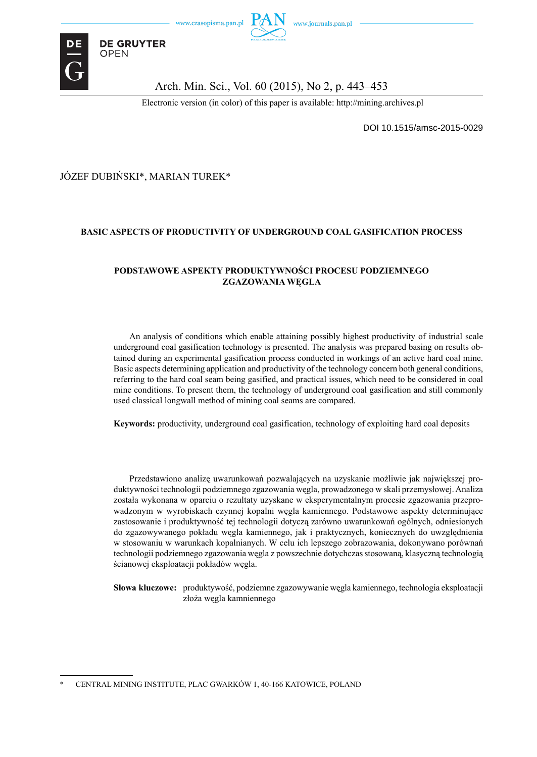

### Arch. Min. Sci., Vol. 60 (2015), No 2, p. 443–453

Electronic version (in color) of this paper is available: http://mining.archives.pl

DOI 10.1515/amsc-2015-0029

JÓZEF DUBIŃSKI\*, MARIAN TUREK\*

**DE GRUYTER** 

**OPEN** 

#### **BASIC ASPECTS OF PRODUCTIVITY OF UNDERGROUND COAL GASIFICATION PROCESS**

#### **PODSTAWOWE ASPEKTY PRODUKTYWNOŚCI PROCESU PODZIEMNEGO ZGAZOWANIA WĘGLA**

An analysis of conditions which enable attaining possibly highest productivity of industrial scale underground coal gasification technology is presented. The analysis was prepared basing on results obtained during an experimental gasification process conducted in workings of an active hard coal mine. Basic aspects determining application and productivity of the technology concern both general conditions, referring to the hard coal seam being gasified, and practical issues, which need to be considered in coal mine conditions. To present them, the technology of underground coal gasification and still commonly used classical longwall method of mining coal seams are compared.

**Keywords:** productivity, underground coal gasification, technology of exploiting hard coal deposits

Przedstawiono analizę uwarunkowań pozwalających na uzyskanie możliwie jak największej produktywności technologii podziemnego zgazowania węgla, prowadzonego w skali przemysłowej. Analiza została wykonana w oparciu o rezultaty uzyskane w eksperymentalnym procesie zgazowania przeprowadzonym w wyrobiskach czynnej kopalni węgla kamiennego. Podstawowe aspekty determinujące zastosowanie i produktywność tej technologii dotyczą zarówno uwarunkowań ogólnych, odniesionych do zgazowywanego pokładu węgla kamiennego, jak i praktycznych, koniecznych do uwzględnienia w stosowaniu w warunkach kopalnianych. W celu ich lepszego zobrazowania, dokonywano porównań technologii podziemnego zgazowania węgla z powszechnie dotychczas stosowaną, klasyczną technologią ścianowej eksploatacji pokładów węgla.

**Słowa kluczowe:** produktywość, podziemne zgazowywanie węgla kamiennego, technologia eksploatacji złoża węgla kamniennego

\* CENTRAL MINING INSTITUTE, PLAC GWARKÓW 1, 40-166 KATOWICE, POLAND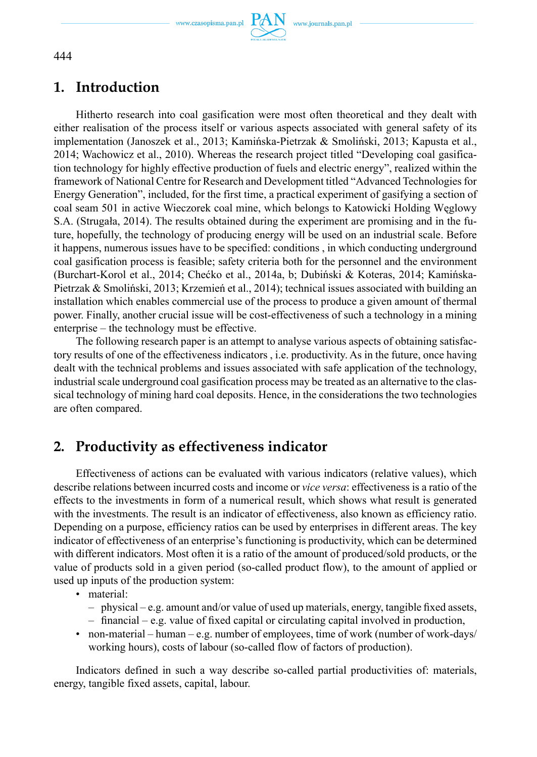

444

### **1. Introduction**

Hitherto research into coal gasification were most often theoretical and they dealt with either realisation of the process itself or various aspects associated with general safety of its implementation (Janoszek et al., 2013; Kamińska-Pietrzak & Smoliński, 2013; Kapusta et al., 2014; Wachowicz et al., 2010). Whereas the research project titled "Developing coal gasification technology for highly effective production of fuels and electric energy", realized within the framework of National Centre for Research and Development titled "Advanced Technologies for Energy Generation", included, for the first time, a practical experiment of gasifying a section of coal seam 501 in active Wieczorek coal mine, which belongs to Katowicki Holding Węglowy S.A. (Strugała, 2014). The results obtained during the experiment are promising and in the future, hopefully, the technology of producing energy will be used on an industrial scale. Before it happens, numerous issues have to be specified: conditions , in which conducting underground coal gasification process is feasible; safety criteria both for the personnel and the environment (Burchart-Korol et al., 2014; Chećko et al., 2014a, b; Dubiński & Koteras, 2014; Kamińska-Pietrzak & Smoliński, 2013; Krzemień et al., 2014); technical issues associated with building an installation which enables commercial use of the process to produce a given amount of thermal power. Finally, another crucial issue will be cost-effectiveness of such a technology in a mining enterprise – the technology must be effective.

The following research paper is an attempt to analyse various aspects of obtaining satisfactory results of one of the effectiveness indicators , i.e. productivity. As in the future, once having dealt with the technical problems and issues associated with safe application of the technology, industrial scale underground coal gasification process may be treated as an alternative to the classical technology of mining hard coal deposits. Hence, in the considerations the two technologies are often compared.

### **2. Productivity as effectiveness indicator**

Effectiveness of actions can be evaluated with various indicators (relative values), which describe relations between incurred costs and income or *vice versa*: effectiveness is a ratio of the effects to the investments in form of a numerical result, which shows what result is generated with the investments. The result is an indicator of effectiveness, also known as efficiency ratio. Depending on a purpose, efficiency ratios can be used by enterprises in different areas. The key indicator of effectiveness of an enterprise's functioning is productivity, which can be determined with different indicators. Most often it is a ratio of the amount of produced/sold products, or the value of products sold in a given period (so-called product flow), to the amount of applied or used up inputs of the production system:

- material:
	- $-$  physical e.g. amount and/or value of used up materials, energy, tangible fixed assets,
	- $-$  financial  $-e.g.$  value of fixed capital or circulating capital involved in production,
- non-material human e.g. number of employees, time of work (number of work-days/ working hours), costs of labour (so-called flow of factors of production).

Indicators defined in such a way describe so-called partial productivities of: materials, energy, tangible fixed assets, capital, labour.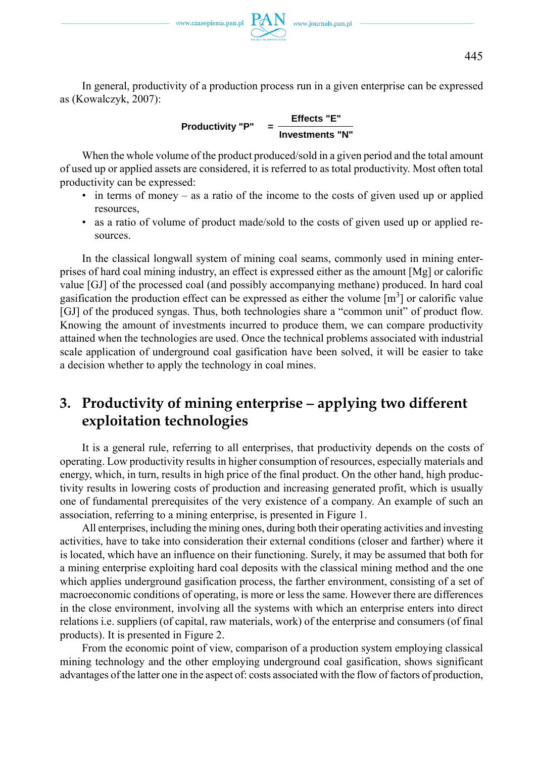

In general, productivity of a production process run in a given enterprise can be expressed as (Kowalczyk, 2007):

**Effects "E" Investments "N" Productivity "P" =**

When the whole volume of the product produced/sold in a given period and the total amount of used up or applied assets are considered, it is referred to as total productivity. Most often total productivity can be expressed:

- in terms of money as a ratio of the income to the costs of given used up or applied resources,
- as a ratio of volume of product made/sold to the costs of given used up or applied resources.

In the classical longwall system of mining coal seams, commonly used in mining enterprises of hard coal mining industry, an effect is expressed either as the amount [Mg] or calorific value [GJ] of the processed coal (and possibly accompanying methane) produced. In hard coal gasification the production effect can be expressed as either the volume  $[m<sup>3</sup>]$  or calorific value [GJ] of the produced syngas. Thus, both technologies share a "common unit" of product flow. Knowing the amount of investments incurred to produce them, we can compare productivity attained when the technologies are used. Once the technical problems associated with industrial scale application of underground coal gasification have been solved, it will be easier to take a decision whether to apply the technology in coal mines.

## **3. Productivity of mining enterprise – applying two different exploitation technologies**

It is a general rule, referring to all enterprises, that productivity depends on the costs of operating. Low productivity results in higher consumption of resources, especially materials and energy, which, in turn, results in high price of the final product. On the other hand, high productivity results in lowering costs of production and increasing generated profit, which is usually one of fundamental prerequisites of the very existence of a company. An example of such an association, referring to a mining enterprise, is presented in Figure 1.

All enterprises, including the mining ones, during both their operating activities and investing activities, have to take into consideration their external conditions (closer and farther) where it is located, which have an influence on their functioning. Surely, it may be assumed that both for a mining enterprise exploiting hard coal deposits with the classical mining method and the one which applies underground gasification process, the farther environment, consisting of a set of macroeconomic conditions of operating, is more or less the same. However there are differences in the close environment, involving all the systems with which an enterprise enters into direct relations i.e. suppliers (of capital, raw materials, work) of the enterprise and consumers (of final products). It is presented in Figure 2.

From the economic point of view, comparison of a production system employing classical mining technology and the other employing underground coal gasification, shows significant advantages of the latter one in the aspect of: costs associated with the flow of factors of production,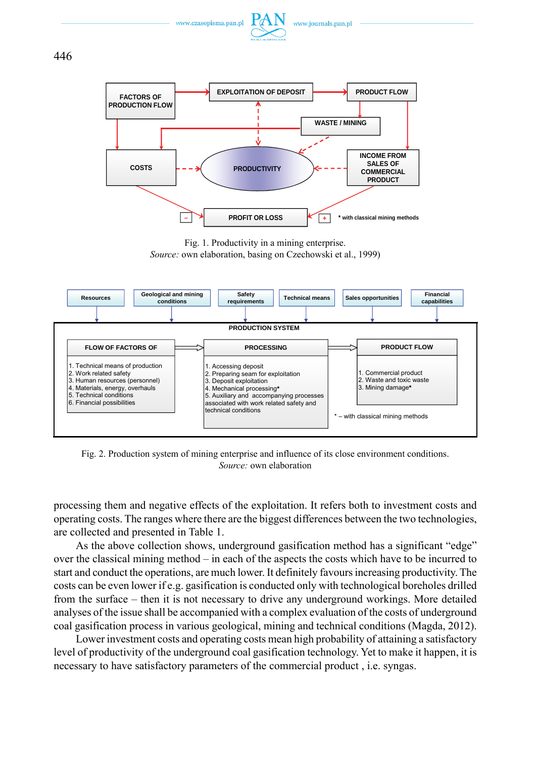

446



Fig. 1. Productivity in a mining enterprise.

*Source:* own elaboration, basing on Czechowski et al., 1999)



Fig. 2. Production system of mining enterprise and influence of its close environment conditions. *Source:* own elaboration

processing them and negative effects of the exploitation. It refers both to investment costs and operating costs. The ranges where there are the biggest differences between the two technologies, are collected and presented in Table 1.

As the above collection shows, underground gasification method has a significant "edge" over the classical mining method – in each of the aspects the costs which have to be incurred to start and conduct the operations, are much lower. It definitely favours increasing productivity. The costs can be even lower if e.g. gasification is conducted only with technological boreholes drilled from the surface – then it is not necessary to drive any underground workings. More detailed analyses of the issue shall be accompanied with a complex evaluation of the costs of underground coal gasification process in various geological, mining and technical conditions (Magda, 2012).

Lower investment costs and operating costs mean high probability of attaining a satisfactory level of productivity of the underground coal gasification technology. Yet to make it happen, it is necessary to have satisfactory parameters of the commercial product , i.e. syngas.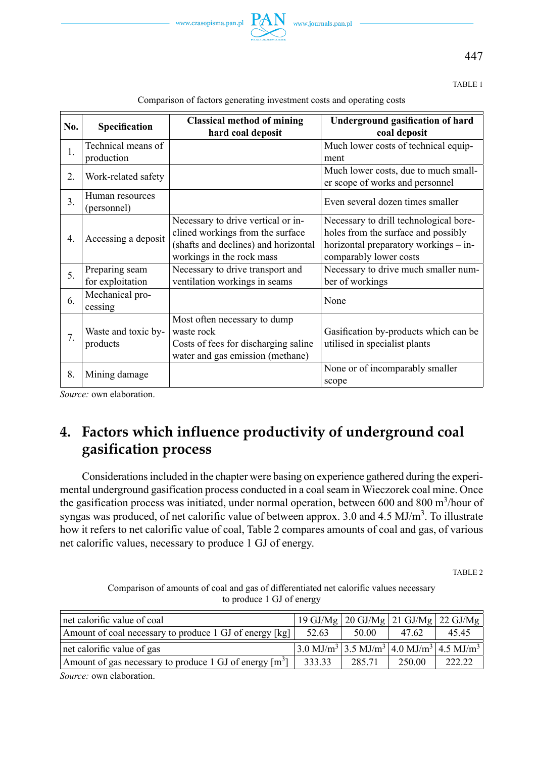



TABLE 1

| No.              | <b>Specification</b>               | <b>Classical method of mining</b><br>hard coal deposit                                                                                      | Underground gasification of hard<br>coal deposit                                                                                                 |  |
|------------------|------------------------------------|---------------------------------------------------------------------------------------------------------------------------------------------|--------------------------------------------------------------------------------------------------------------------------------------------------|--|
| 1.               | Technical means of<br>production   |                                                                                                                                             | Much lower costs of technical equip-<br>ment                                                                                                     |  |
| 2.               | Work-related safety                |                                                                                                                                             | Much lower costs, due to much small-<br>er scope of works and personnel                                                                          |  |
| $\overline{3}$ . | Human resources<br>(personnel)     |                                                                                                                                             | Even several dozen times smaller                                                                                                                 |  |
| 4.               | Accessing a deposit                | Necessary to drive vertical or in-<br>clined workings from the surface<br>(shafts and declines) and horizontal<br>workings in the rock mass | Necessary to drill technological bore-<br>holes from the surface and possibly<br>horizontal preparatory workings – in-<br>comparably lower costs |  |
| 5.               | Preparing seam<br>for exploitation | Necessary to drive transport and<br>ventilation workings in seams                                                                           | Necessary to drive much smaller num-<br>ber of workings                                                                                          |  |
| 6.               | Mechanical pro-<br>cessing         |                                                                                                                                             | None                                                                                                                                             |  |
| 7.               | Waste and toxic by-<br>products    | Most often necessary to dump<br>waste rock<br>Costs of fees for discharging saline<br>water and gas emission (methane)                      | Gasification by-products which can be<br>utilised in specialist plants                                                                           |  |
| 8.               | Mining damage                      |                                                                                                                                             | None or of incomparably smaller<br>scope                                                                                                         |  |

Comparison of factors generating investment costs and operating costs

*Source:* own elaboration.

# **4. Factors which influence productivity of underground coal gasification process**

Considerations included in the chapter were basing on experience gathered during the experimental underground gasification process conducted in a coal seam in Wieczorek coal mine. Once the gasification process was initiated, under normal operation, between 600 and 800  $m<sup>3</sup>/hour$  of syngas was produced, of net calorific value of between approx. 3.0 and 4.5  $MJ/m<sup>3</sup>$ . To illustrate how it refers to net calorific value of coal, Table 2 compares amounts of coal and gas, of various net calorific values, necessary to produce 1 GJ of energy.

TABLE 2

Comparison of amounts of coal and gas of differentiated net calorific values necessary to produce 1 GJ of energy

| net calorific value of coal                                           |                                                                                           |        | $\vert$ 19 GJ/Mg $\vert$ 20 GJ/Mg $\vert$ 21 GJ/Mg $\vert$ 22 GJ/Mg $\vert$ |        |  |  |
|-----------------------------------------------------------------------|-------------------------------------------------------------------------------------------|--------|-----------------------------------------------------------------------------|--------|--|--|
| Amount of coal necessary to produce 1 GJ of energy [kg]               | 52.63                                                                                     | 50.00  | 47.62                                                                       | 45.45  |  |  |
|                                                                       |                                                                                           |        |                                                                             |        |  |  |
| net calorific value of gas                                            | $3.0$ MJ/m <sup>3</sup> 3.5 MJ/m <sup>3</sup> 4.0 MJ/m <sup>3</sup> 4.5 MJ/m <sup>3</sup> |        |                                                                             |        |  |  |
| Amount of gas necessary to produce 1 GJ of energy $\lceil m^3 \rceil$ | 333.33                                                                                    | 285.71 | 250.00                                                                      | 222.22 |  |  |
| Caracar anns alabanatian                                              |                                                                                           |        |                                                                             |        |  |  |

*Source:* own elaboration.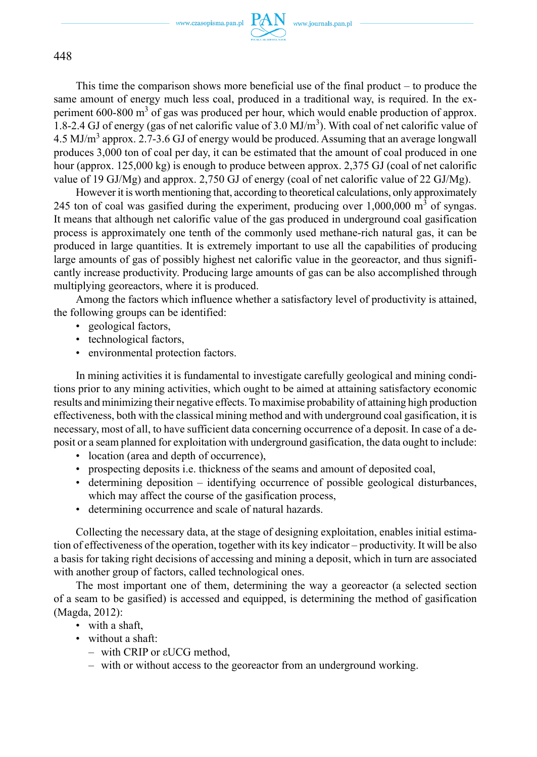

#### 448

This time the comparison shows more beneficial use of the final product – to produce the same amount of energy much less coal, produced in a traditional way, is required. In the experiment 600-800 m<sup>3</sup> of gas was produced per hour, which would enable production of approx. 1.8-2.4 GJ of energy (gas of net calorific value of 3.0 MJ/m<sup>3</sup>). With coal of net calorific value of 4.5 MJ/m<sup>3</sup> approx. 2.7-3.6 GJ of energy would be produced. Assuming that an average longwall produces 3,000 ton of coal per day, it can be estimated that the amount of coal produced in one hour (approx. 125,000 kg) is enough to produce between approx. 2,375 GJ (coal of net calorific value of 19 GJ/Mg) and approx. 2,750 GJ of energy (coal of net calorific value of 22 GJ/Mg).

However it is worth mentioning that, according to theoretical calculations, only approximately 245 ton of coal was gasified during the experiment, producing over  $1,000,000$  m<sup>3</sup> of syngas. It means that although net calorific value of the gas produced in underground coal gasification process is approximately one tenth of the commonly used methane-rich natural gas, it can be produced in large quantities. It is extremely important to use all the capabilities of producing large amounts of gas of possibly highest net calorific value in the georeactor, and thus significantly increase productivity. Producing large amounts of gas can be also accomplished through multiplying georeactors, where it is produced.

Among the factors which influence whether a satisfactory level of productivity is attained, the following groups can be identified:

- geological factors,
- technological factors,
- environmental protection factors.

In mining activities it is fundamental to investigate carefully geological and mining conditions prior to any mining activities, which ought to be aimed at attaining satisfactory economic results and minimizing their negative effects. To maximise probability of attaining high production effectiveness, both with the classical mining method and with underground coal gasification, it is necessary, most of all, to have sufficient data concerning occurrence of a deposit. In case of a deposit or a seam planned for exploitation with underground gasification, the data ought to include:

- location (area and depth of occurrence),
- prospecting deposits i.e. thickness of the seams and amount of deposited coal,
- determining deposition identifying occurrence of possible geological disturbances, which may affect the course of the gasification process,
- determining occurrence and scale of natural hazards.

Collecting the necessary data, at the stage of designing exploitation, enables initial estimation of effectiveness of the operation, together with its key indicator – productivity. It will be also a basis for taking right decisions of accessing and mining a deposit, which in turn are associated with another group of factors, called technological ones.

The most important one of them, determining the way a georeactor (a selected section of a seam to be gasified) is accessed and equipped, is determining the method of gasification (Magda, 2012):

- with a shaft,
- without a shaft:
	- with CRIP or εUCG method,
	- with or without access to the georeactor from an underground working.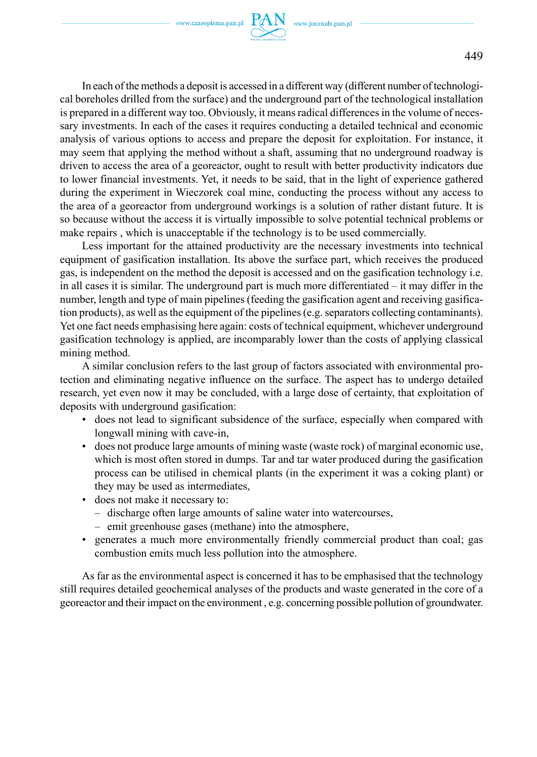

In each of the methods a deposit is accessed in a different way (different number of technological boreholes drilled from the surface) and the underground part of the technological installation is prepared in a different way too. Obviously, it means radical differences in the volume of necessary investments. In each of the cases it requires conducting a detailed technical and economic analysis of various options to access and prepare the deposit for exploitation. For instance, it may seem that applying the method without a shaft, assuming that no underground roadway is driven to access the area of a georeactor, ought to result with better productivity indicators due to lower financial investments. Yet, it needs to be said, that in the light of experience gathered during the experiment in Wieczorek coal mine, conducting the process without any access to the area of a georeactor from underground workings is a solution of rather distant future. It is so because without the access it is virtually impossible to solve potential technical problems or make repairs , which is unacceptable if the technology is to be used commercially.

Less important for the attained productivity are the necessary investments into technical equipment of gasification installation. Its above the surface part, which receives the produced gas, is independent on the method the deposit is accessed and on the gasification technology i.e. in all cases it is similar. The underground part is much more differentiated – it may differ in the number, length and type of main pipelines (feeding the gasification agent and receiving gasification products), as well as the equipment of the pipelines (e.g. separators collecting contaminants). Yet one fact needs emphasising here again: costs of technical equipment, whichever underground gasification technology is applied, are incomparably lower than the costs of applying classical mining method.

A similar conclusion refers to the last group of factors associated with environmental protection and eliminating negative influence on the surface. The aspect has to undergo detailed research, yet even now it may be concluded, with a large dose of certainty, that exploitation of deposits with underground gasification:

- does not lead to significant subsidence of the surface, especially when compared with longwall mining with cave-in,
- does not produce large amounts of mining waste (waste rock) of marginal economic use, which is most often stored in dumps. Tar and tar water produced during the gasification process can be utilised in chemical plants (in the experiment it was a coking plant) or they may be used as intermediates,
- does not make it necessary to:
	- discharge often large amounts of saline water into watercourses,
	- emit greenhouse gases (methane) into the atmosphere,
- generates a much more environmentally friendly commercial product than coal; gas combustion emits much less pollution into the atmosphere.

As far as the environmental aspect is concerned it has to be emphasised that the technology still requires detailed geochemical analyses of the products and waste generated in the core of a georeactor and their impact on the environment , e.g. concerning possible pollution of groundwater.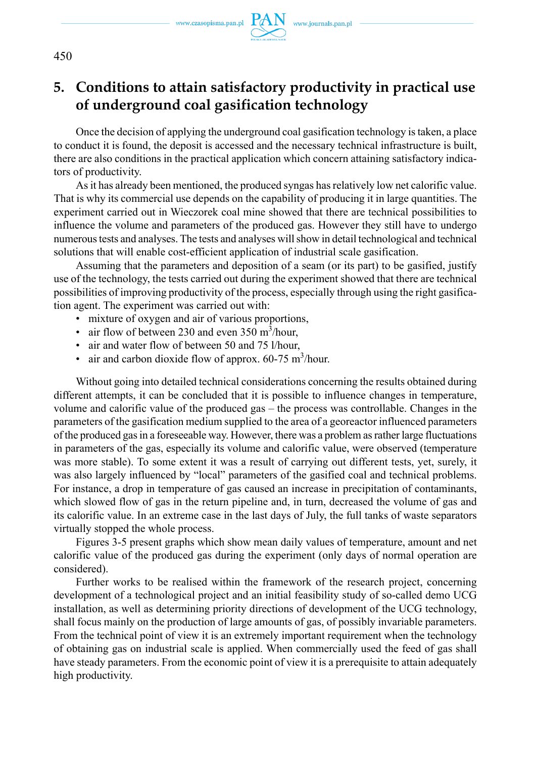

**5. Conditions to attain satisfactory productivity in practical use of underground coal gasification technology**

Once the decision of applying the underground coal gasification technology is taken, a place to conduct it is found, the deposit is accessed and the necessary technical infrastructure is built, there are also conditions in the practical application which concern attaining satisfactory indicators of productivity.

As it has already been mentioned, the produced syngas has relatively low net calorific value. That is why its commercial use depends on the capability of producing it in large quantities. The experiment carried out in Wieczorek coal mine showed that there are technical possibilities to influence the volume and parameters of the produced gas. However they still have to undergo numerous tests and analyses. The tests and analyses will show in detail technological and technical solutions that will enable cost-efficient application of industrial scale gasification.

Assuming that the parameters and deposition of a seam (or its part) to be gasified, justify use of the technology, the tests carried out during the experiment showed that there are technical possibilities of improving productivity of the process, especially through using the right gasification agent. The experiment was carried out with:

- mixture of oxygen and air of various proportions,
- air flow of between 230 and even 350 m<sup>3</sup>/hour,
- air and water flow of between 50 and 75 l/hour,
- air and carbon dioxide flow of approx.  $60-75$  m<sup>3</sup>/hour.

Without going into detailed technical considerations concerning the results obtained during different attempts, it can be concluded that it is possible to influence changes in temperature, volume and calorific value of the produced gas – the process was controllable. Changes in the parameters of the gasification medium supplied to the area of a georeactor influenced parameters of the produced gas in a foreseeable way. However, there was a problem as rather large fluctuations in parameters of the gas, especially its volume and calorific value, were observed (temperature was more stable). To some extent it was a result of carrying out different tests, yet, surely, it was also largely influenced by "local" parameters of the gasified coal and technical problems. For instance, a drop in temperature of gas caused an increase in precipitation of contaminants, which slowed flow of gas in the return pipeline and, in turn, decreased the volume of gas and its calorific value. In an extreme case in the last days of July, the full tanks of waste separators virtually stopped the whole process.

Figures 3-5 present graphs which show mean daily values of temperature, amount and net calorific value of the produced gas during the experiment (only days of normal operation are considered).

Further works to be realised within the framework of the research project, concerning development of a technological project and an initial feasibility study of so-called demo UCG installation, as well as determining priority directions of development of the UCG technology, shall focus mainly on the production of large amounts of gas, of possibly invariable parameters. From the technical point of view it is an extremely important requirement when the technology of obtaining gas on industrial scale is applied. When commercially used the feed of gas shall have steady parameters. From the economic point of view it is a prerequisite to attain adequately high productivity.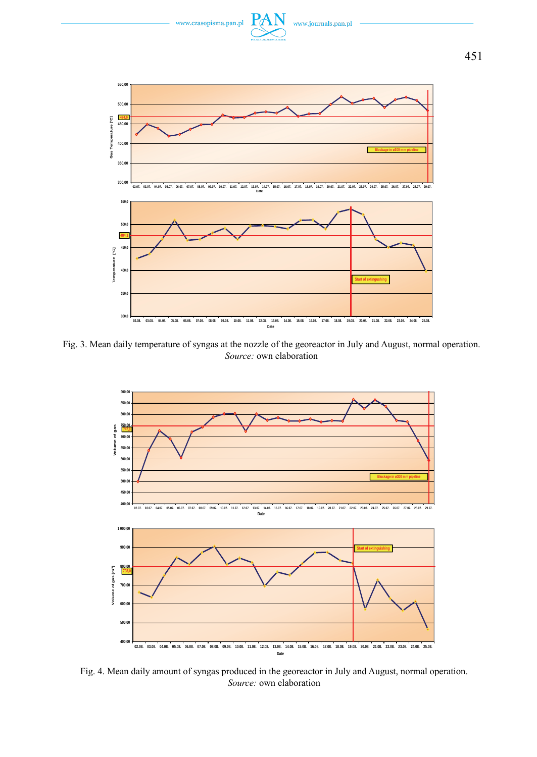

www.czasopisma.pan.pl

www.journals.pan.pl

Fig. 3. Mean daily temperature of syngas at the nozzle of the georeactor in July and August, normal operation. *Source:* own elaboration



Fig. 4. Mean daily amount of syngas produced in the georeactor in July and August, normal operation. *Source:* own elaboration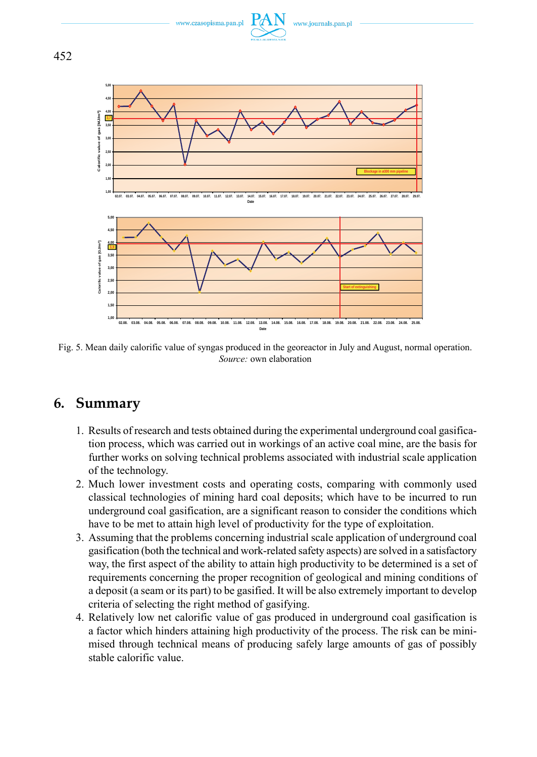

Fig. 5. Mean daily calorific value of syngas produced in the georeactor in July and August, normal operation. *Source:* own elaboration

## **6. Summary**

- 1. Results of research and tests obtained during the experimental underground coal gasification process, which was carried out in workings of an active coal mine, are the basis for further works on solving technical problems associated with industrial scale application of the technology.
- 2. Much lower investment costs and operating costs, comparing with commonly used classical technologies of mining hard coal deposits; which have to be incurred to run underground coal gasification, are a significant reason to consider the conditions which have to be met to attain high level of productivity for the type of exploitation.
- 3. Assuming that the problems concerning industrial scale application of underground coal gasification (both the technical and work-related safety aspects) are solved in a satisfactory way, the first aspect of the ability to attain high productivity to be determined is a set of requirements concerning the proper recognition of geological and mining conditions of a deposit (a seam or its part) to be gasified. It will be also extremely important to develop criteria of selecting the right method of gasifying.
- 4. Relatively low net calorific value of gas produced in underground coal gasification is a factor which hinders attaining high productivity of the process. The risk can be minimised through technical means of producing safely large amounts of gas of possibly stable calorific value.